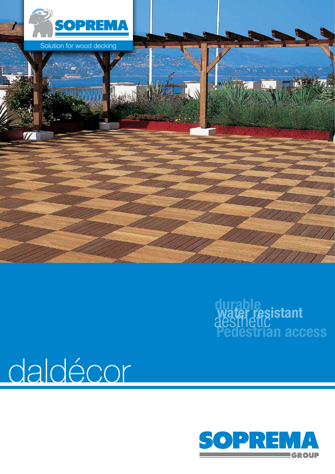

### **water resistant** aesthetic **durable Petrian access**



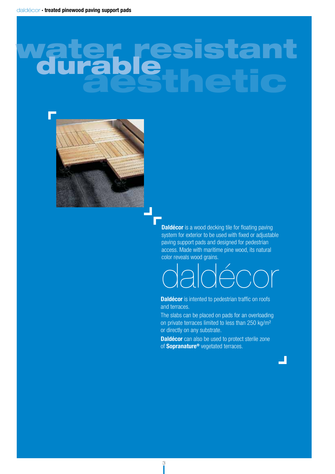# er, resistan aesthetic



**Daldécor** is a wood decking tile for floating paving system for exterior to be used with fixed or adjustable paving support pads and designed for pedestrian access. Made with maritime pine wood, its natural color reveals wood grains.



**Daldécor** is intented to pedestrian traffic on roofs and terraces.

The slabs can be placed on pads for an overloading on private terraces limited to less than 250 kg/m² or directly on any substrate.

**Daldécor** can also be used to protect sterile zone of **Sopranature®** vegetated terraces.

3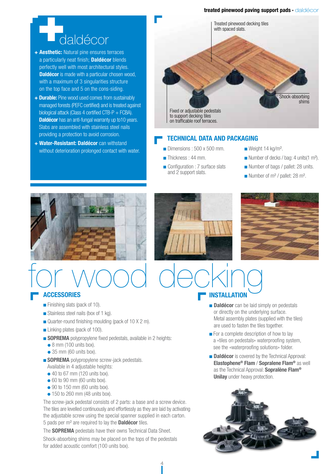#### **treated pinewood paving support pads ·** daldécor



- **+ Aesthetic:** Natural pine ensures terraces a particularly neat finish; **Daldécor** blends perfectly well with most architectural styles. **Daldécor** is made with a particular chosen wood, with a maximum of 3 singularities structure on the top face and 5 on the cons-siding.
- **+ Durable:** Pine wood used comes from sustainably managed forests (PEFC certified) and is treated against biological attack (Class 4 certified CTB-P + FCBA). **Daldécor** has an anti-fungal warranty up to10 years. Slabs are assembled with stainless steel nails providing a protection to avoid corrosion.
- **+ Water-Resistant: Daldécor** can withstand without deterioration prolonged contact with water.



Treated pinewood decking tiles

with spaced slats.

Fixed or adjustable pedestals to support decking tiles on trafficable roof terraces.

#### **Technical data and packaging**

- $\blacksquare$  Dimensions : 500 x 500 mm.
- $\blacksquare$  Thickness : 44 mm.
- Configuration : 7 surface slats and 2 support slats.
- $\blacksquare$  Weight 14 kg/m<sup>2</sup>.
- Number of decks / bag: 4 units(1 m<sup>2</sup>).

Shock-absorbing shims

- Number of bags / pallet: 28 units.
- Number of  $m^2$  / pallet: 28 m<sup>2</sup>.



## for wood decking **Accessories Installation**

- 
- $\blacksquare$  Finishing slats (pack of 10).
- $\blacksquare$  Stainless steel nails (box of 1 kg).
- $\blacksquare$  Quarter-round finishing moulding (pack of 10 X 2 m).
- $\blacksquare$  Linking plates (pack of 100).
- **n SOPREMA** polypropylene fixed pedestals, available in 2 heights:
	- $\bullet$  8 mm (100 units box).
	- $\bullet$  35 mm (60 units box).
- **n** SOPREMA polypropylene screw-jack pedestals. Available in 4 adjustable heights:
	- $\bullet$  40 to 67 mm (120 units box).
	- $\bullet$  60 to 90 mm (60 units box).
	- $\bullet$  90 to 150 mm (60 units box).
	- $\bullet$  150 to 260 mm (48 units box).

The screw-jack pedestal consists of 2 parts: a base and a screw device. The tiles are levelled continuously and effortlessly as they are laid by activating the adjustable screw using the special spanner supplied in each carton. 5 pads per m² are required to lay the **Daldécor** tiles.

The **SOPREMA** pedestals have their owns Technical Data Sheet.

Shock-absorbing shims may be placed on the tops of the pedestals for added acoustic comfort (100 units box).





- **n Daldécor** can be laid simply on pedestals or directly on the underlying surface. Metal assembly plates (supplied with the tiles) are used to fasten the tiles together.
- $\blacksquare$  For a complete description of how to lay a «tiles on pedestals» waterproofing system, see the «waterproofing solutions» folder.
- **n Daldécor** is covered by the Technical Approval: **Elastophene® Flam** / **Sopralene Flam®** as well as the Technical Approval: **Sopralène Flam® Unilay** under heavy protection.